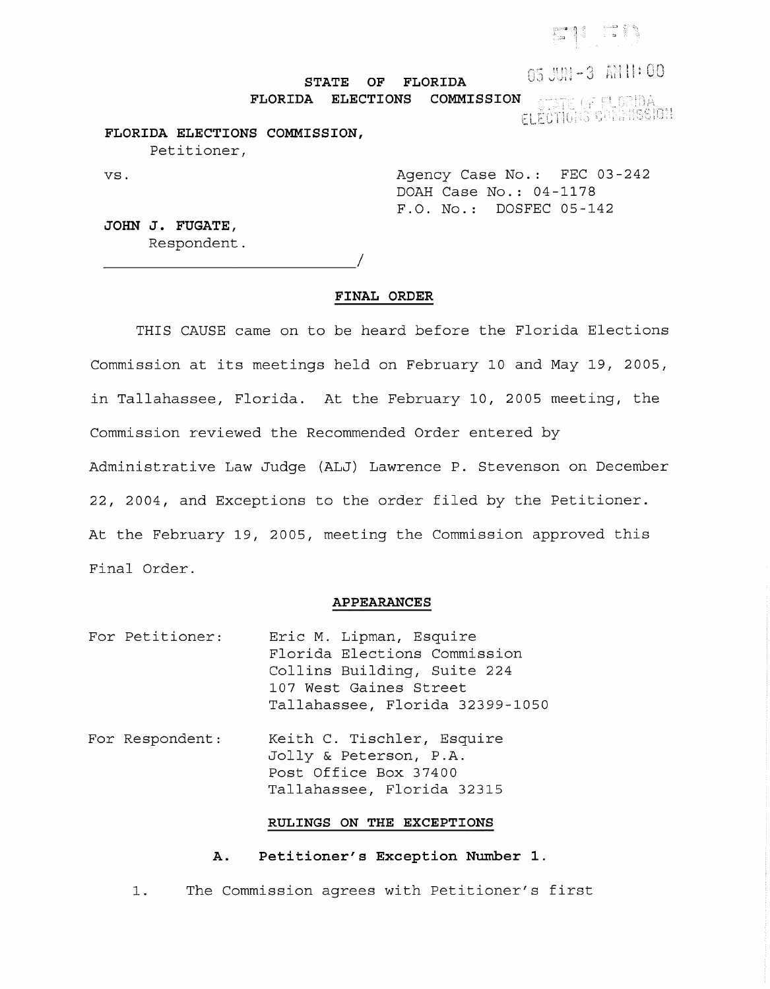# $\mathbb{C}$  . . , ,

## 05 JUN-3 AM 11:00

**STATE OF FLORIDA FLORIDA ELECTIONS COMMISSION**   $\mathop{\mathrm{ISS}}\nolimits[0!!]$ 

## **FLORIDA ELECTIONS COMMISSION,**  Petitioner,

vs. Agency Case No.: FEC 03-242 DOAH Case No.: 04-1178 F.O. No.: DOSFEC 05-142

**JOHN J. FUGATE,**  Respondent.

*\_\_\_\_\_\_\_\_\_\_\_\_\_\_\_\_\_\_\_\_\_\_\_\_\_\_\_ !* 

#### **FINAL ORDER**

THIS CAUSE came on to be heard before the Florida Elections Commission at its meetings held on February 10 and May 19, 2005, in Tallahassee, Florida. At the February 10, 2005 meeting, the Commission reviewed the Recommended Order entered by Administrative Law Judge (ALJ) Lawrence P. Stevenson on December 22, 2004, and Exceptions to the order filed by the Petitioner. At the February 19, 2005, meeting the Commission approved this Final Order.

## **APPEARANCES**

- For Petitioner: Eric M. Lipman, Esquire Florida Elections Commission Collins Building, Suite 224 107 West Gaines Street Tallahassee, Florida 32399-1050
- For Respondent: Keith C. Tischler, Esquire Jolly & Peterson, P.A. Post Office Box 37400 Tallahassee, Florida 32315

## **RULINGS ON THE EXCEPTIONS**

### **A. Petitioner's Exception Number 1.**

1. The Commission agrees with Petitioner's first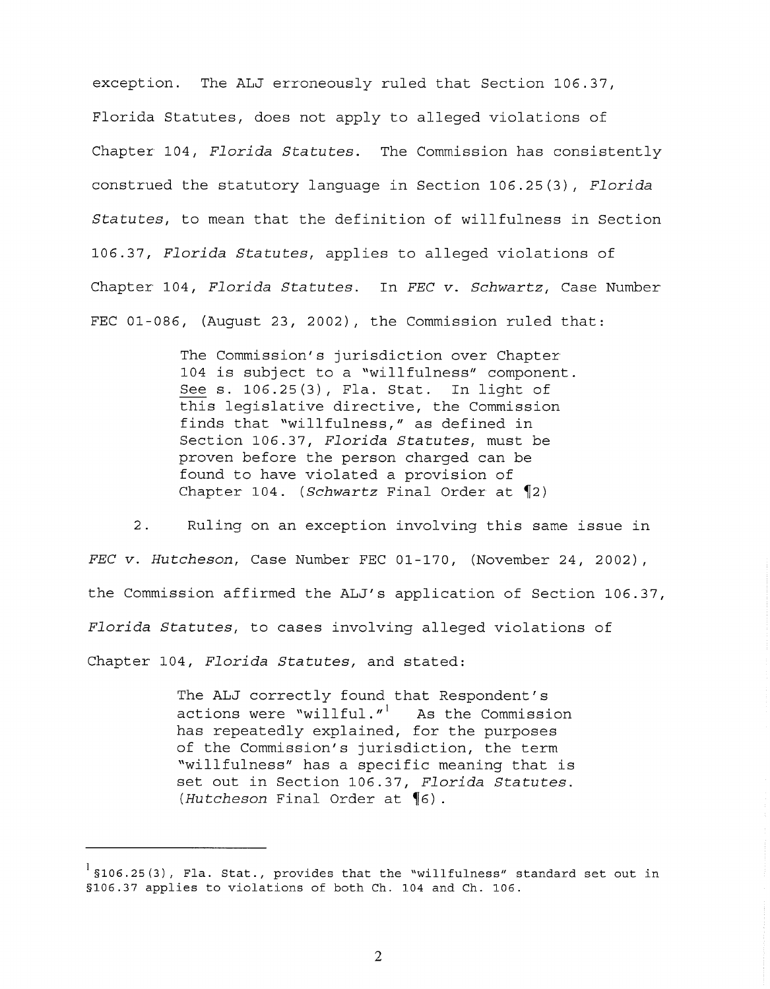exception. The ALJ erroneously ruled that Section 106.37, Florida Statutes, does not apply to alleged violations of Chapter 104, *Florida Statutes.* The Commission has consistently construed the statutory language in Section 106.25(3), *Florida Statutes,* to mean that the definition of willfulness in Section 106.37, *Florida Statutes,* applies to alleged violations of Chapter 104, *Florida Statutes.* In *FEC v. Schwartz,* Case Number FEC 01-086, (August 23, 2002), the Commission ruled that:

> The Commission's jurisdiction over Chapter 104 is subject to a "willfulness" component. Sees. 106.25(3), Fla. Stat. In light of this legislative directive, the Commission finds that "willfulness," as defined in Section 106.37, *Florida Statutes,* must be proven before the person charged can be found to have violated a provision of Chapter 104. *(Schwartz Final Order at* 12)

2. Ruling on an exception involving this same issue in *FEC v. Hutcheson,* Case Number FEC 01-170, (November 24, 2002), the Commission affirmed the ALJ's application of Section 106.37, *Florida Statutes,* to cases involving alleged violations of Chapter 104, *Florida Statutes,* and stated:

> The ALJ correctly found that Respondent's actions were "willful." $1$  As the Commission has repeatedly explained, for the purposes of the Commission's jurisdiction, the term "willfulness" has a specific meaning that is set out in Section 106.37, *Florida Statutes. (Hutcheson Final Order at 16).*

 $1$  \$106.25(3), Fla. Stat., provides that the "willfulness" standard set out in §106.37 applies to violations of both Ch. 104 and Ch. 106.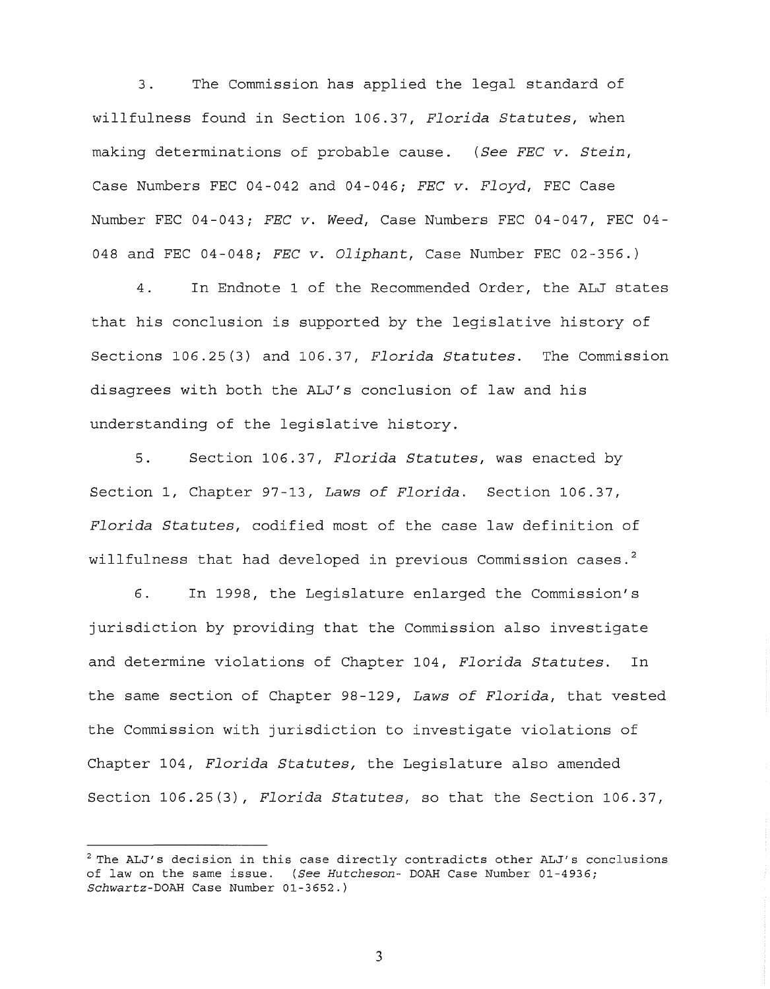3. The Commission has applied the legal standard of willfulness found in Section 106.37, *Florida Statutes,* when making determinations of probable cause. *(See FEC v. Stein,*  Case Numbers FEC 04-042 and 04-046i *FEC v. Floyd,* FEC Case Number FEC 04-043i *FEC v. Weed,* Case Numbers FEC 04-047, FEC 04- 048 and FEC 04-048i *FEC v. Oliphant,* Case Number FEC 02-356.)

4. In Endnote 1 of the Recommended Order, the ALJ states that his conclusion is supported by the legislative history of Sections 106.25(3) and 106.37, *Florida Statutes.* The Commission disagrees with both the ALJ's conclusion of law and his understanding of the legislative history.

5. Section 106.37, *Florida Statutes,* was enacted by Section 1, Chapter 97-13, *Laws of Florida.* Section 106.37, *Florida Statutes,* codified most of the case law definition of willfulness that had developed in previous Commission cases. $^2$ 

6. In 1998, the Legislature enlarged the Commission's jurisdiction by providing that the Commission also investigate and determine violations of Chapter 104, *Florida Statutes.* In the same section of Chapter 98-129, *Laws of Florida,* that vested the Commission with jurisdiction to investigate violations of Chapter 104, *Florida Statutes,* the Legislature also amended Section 106.25(3), *Florida Statutes,* so that the Section 106.37,

 $2$  The ALJ's decision in this case directly contradicts other ALJ's conclusions of law on the same issue. (See Hutcheson- DOAH Case Number 01-4936; *Schwartz-DOAR* Case Number 01-3652.)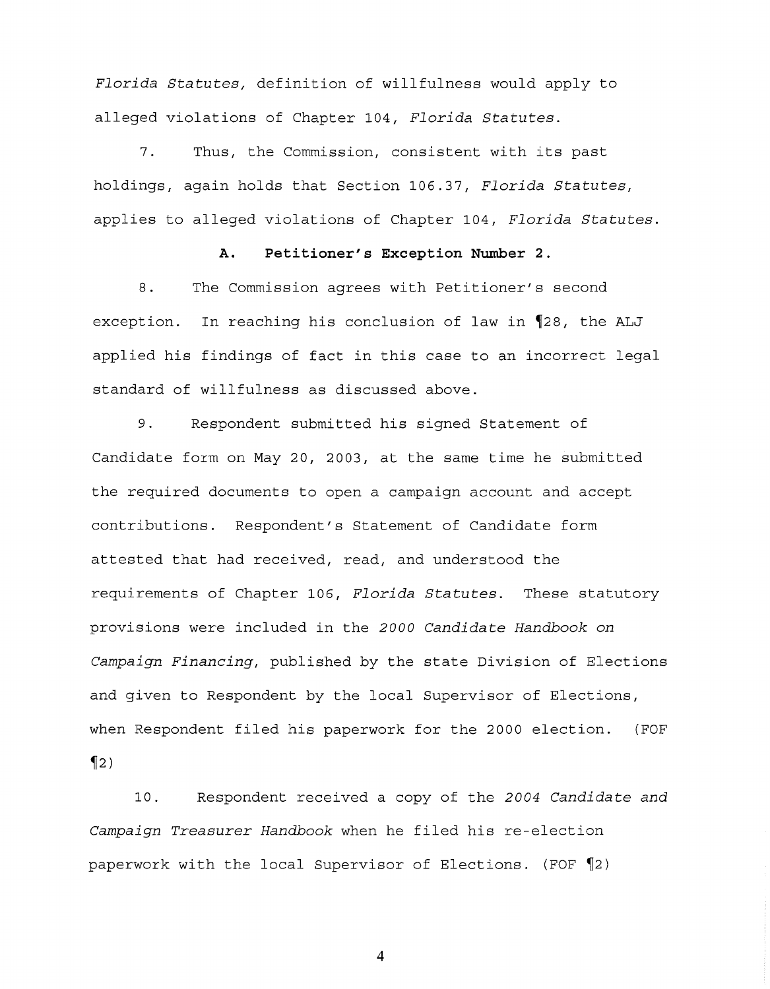*Florida Statutes,* definition of willfulness would apply to alleged violations of Chapter 104, Florida Statutes.

7. Thus, the Commission, consistent with its past holdings, again holds that Section 106.37, Florida Statutes, applies to alleged violations of Chapter 104 <sup>1</sup>*Florida Statutes.* 

#### **A. Petitioner's Exception Number 2.**

8. The Commission agrees with Petitioner's second exception. In reaching his conclusion of law in 128, the ALJ applied his findings of fact in this case to an incorrect legal standard of willfulness as discussed above.

9. Respondent submitted his signed Statement of Candidate form on May 20, 2003, at the same time he submitted the required documents to open a campaign account and accept contributions. Respondent's Statement of Candidate form attested that had received, read, and understood the requirements of Chapter 106 <sup>1</sup>*Florida Statutes.* These statutory provisions were included in the *2000 Candidate Handbook on Campaign Financing/* published by the state Division of Elections and given to Respondent by the local Supervisor of Elections, when Respondent filed his paperwork for the 2000 election. (FOF  $\S$ 

10. Respondent received a copy of the *2004 Candidate and Campaign Treasurer Handbook* when he filed his re-election paperwork with the local Supervisor of Elections. (FOF  $\P$ 2)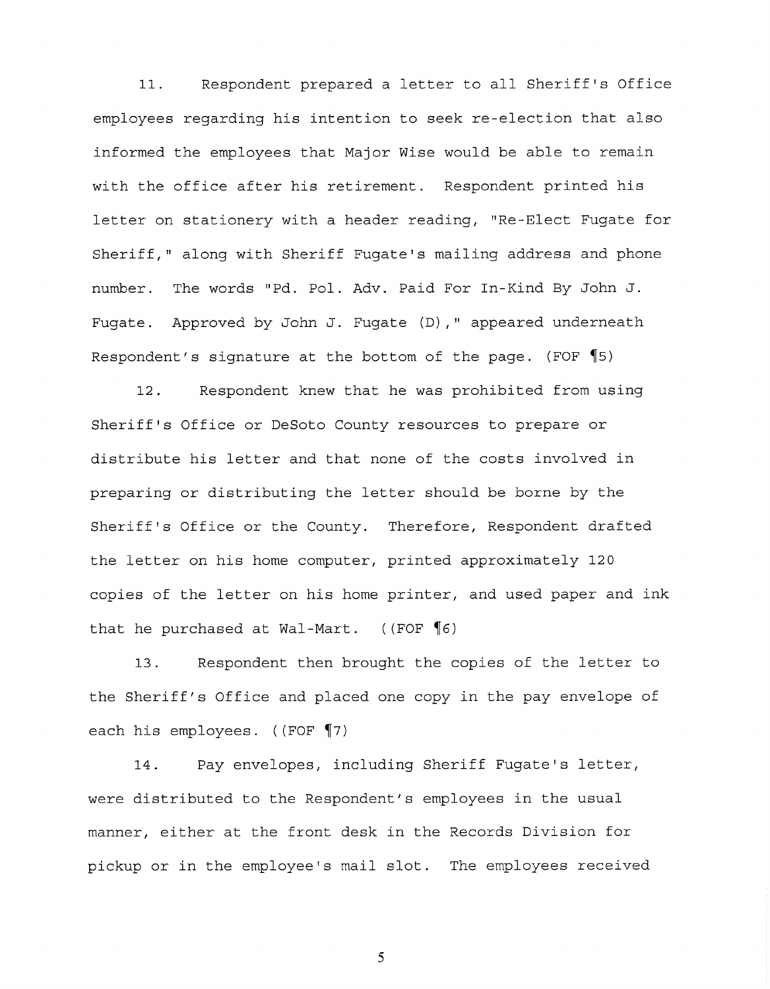11. Respondent prepared a letter to all Sheriff's Office employees regarding his intention to seek re-election that also informed the employees that Major Wise would be able to remain with the office after his retirement. Respondent printed his letter on stationery with a header reading, "Re-Elect Fugate for Sheriff," along with Sheriff Fugate's mailing address and phone number. The words "Pd. Pol. Adv. Paid For In-Kind By John J. Fugate. Approved by John J. Fugate (D)," appeared underneath Respondent's signature at the bottom of the page. (FOF  $\P$ 5)

12. Respondent knew that he was prohibited from using Sheriff's Office or DeSoto County resources to prepare or distribute his letter and that none of the costs involved in preparing or distributing the letter should be borne by the Sheriff's Office or the County. Therefore, Respondent drafted the letter on his home computer, printed approximately 120 copies of the letter on his home printer, and used paper and ink that he purchased at Wal-Mart.  $((FOF \P6))$ 

13. Respondent then brought the copies of the letter to the Sheriff's Office and placed one copy in the pay envelope of each his employees.  $(\sqrt{FOF \cdot 7})$ 

14. Pay envelopes, including Sheriff Fugate's letter, were distributed to the Respondent's employees in the usual manner, either at the front desk in the Records Division for pickup or in the employee's mail slot. The employees received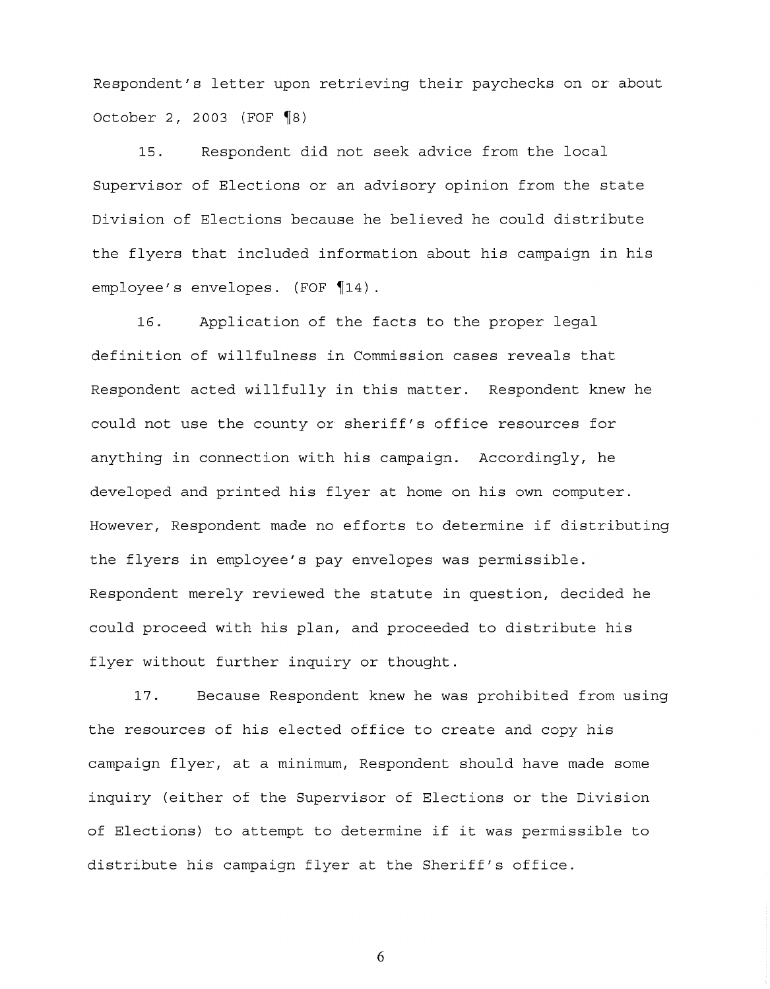Respondent's letter upon retrieving their paychecks on or about October 2, 2003 (FOF  $\P$ 8)

15. Respondent did not seek advice from the local Supervisor of Elections or an advisory opinion from the state Division of Elections because he believed he could distribute the flyers that included information about his campaign in his employee's envelopes. (FOF  $\P$ 14).

16. Application of the facts to the proper legal definition of willfulness in Commission cases reveals that Respondent acted willfully in this matter. Respondent knew he could not use the county or sheriff's office resources for anything in connection with his campaign. Accordingly, he developed and printed his flyer at home on his own computer. However, Respondent made no efforts to determine if distributing the flyers in employee's pay envelopes was permissible. Respondent merely reviewed the statute in question, decided he could proceed with his plan, and proceeded to distribute his flyer without further inquiry or thought.

17. Because Respondent knew he was prohibited from using the resources of his elected office to create and copy his campaign flyer, at a minimum, Respondent should have made some inquiry (either of the Supervisor of Elections or the Division of Elections) to attempt to determine if it was permissible to distribute his campaign flyer at the Sheriff's office.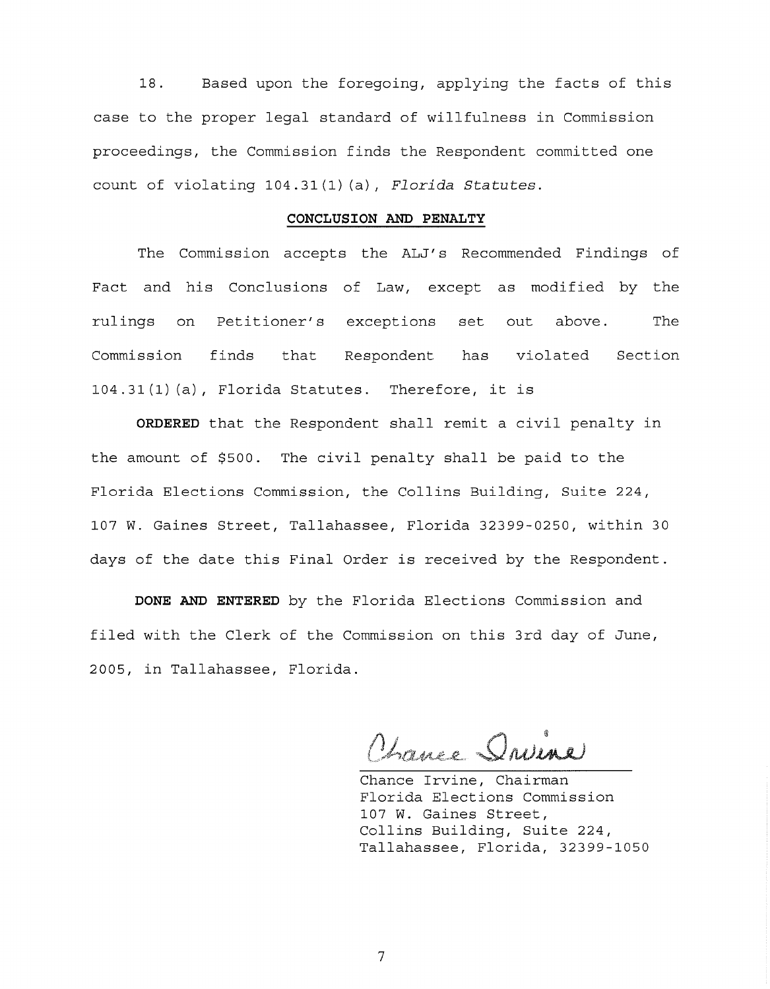18. Based upon the foregoing, applying the facts of this case to the proper legal standard of willfulness in Commission proceedings, the Commission finds the Respondent committed one count of violating 104.31(1) (a), *Florida Statutes.* 

#### **CONCLUSION AND PENALTY**

The Commission accepts the ALJ's Recommended Findings of Fact and his Conclusions of Law, except as modified by the rulings on Petitioner's exceptions set out above. The Commission finds that Respondent has violated Section 104.31 (1) (a), Florida Statutes. Therefore, it is

**ORDERED** that the Respondent shall remit a civil penalty in the amount of \$500. The civil penalty shall be paid to the Florida Elections Commission, the Collins Building, Suite 224, 107 W. Gaines Street, Tallahassee, Florida 32399-0250, within 30 days of the date this Final Order is received by the Respondent.

**DONE AND ENTERED** by the Florida Elections Commission and filed with the Clerk of the Commission on this 3rd day of June, 2005, in Tallahassee, Florida.

Trance Driver

Chance Irvine, Chairman Florida Elections Commission 107 W. Gaines Street, Collins Building, Suite 224, Tallahassee, Florida, 32399-1050